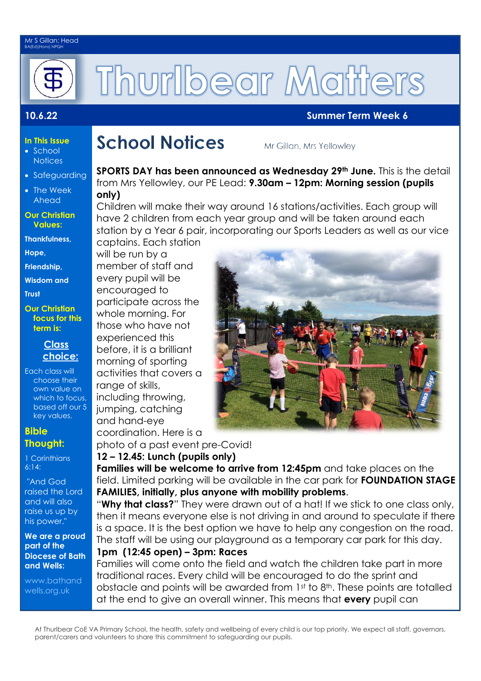#### Mr S Gillan: Head BA(Ed)(Hons) NPQH



# Thurlbear Matters

### **10.6.22 Summer Term Week 6**

### **In This Issue**

- School **Notices**
- Safeguarding
- The Week Ahead
- **Our Christian Values:**

**Thankfulness,** 

**Hope,** 

**Friendship,**

**Wisdom and** 

**Trust** 

**Our Christian focus for this term is:**

#### **Class choice:**

Each class will choose their own value on which to focus, based off our 5 key values.

#### **Bible Thought:**

1 Corinthians 6:14:

"And God raised the Lord and will also raise us up by his power."

**We are a proud part of the Diocese of Bath and Wells:** 

[www.bathand](http://www.bathandwells.org.uk/) [wells.org.uk](http://www.bathandwells.org.uk/)

### **School Notices**

Mr Gillan, Mrs Yellowley

**SPORTS DAY has been announced as Wednesday 29th June.** This is the detail from Mrs Yellowley, our PE Lead: **9.30am – 12pm: Morning session (pupils only)**

Children will make their way around 16 stations/activities. Each group will have 2 children from each year group and will be taken around each station by a Year 6 pair, incorporating our Sports Leaders as well as our vice captains. Each station

will be run by a member of staff and every pupil will be encouraged to participate across the whole morning. For those who have not experienced this before, it is a brilliant morning of sporting activities that covers a range of skills. including throwing, jumping, catching and hand-eye coordination. Here is a

photo of a past event pre-Covid! **12 – 12.45: Lunch (pupils only)**

**Families will be welcome to arrive from 12:45pm** and take places on the field. Limited parking will be available in the car park for **FOUNDATION STAGE FAMILIES, initially, plus anyone with mobility problems**.

"**Why that class?**" They were drawn out of a hat! If we stick to one class only, then it means everyone else is not driving in and around to speculate if there is a space. It is the best option we have to help any congestion on the road. The staff will be using our playground as a temporary car park for this day.

### **1pm (12:45 open) – 3pm: Races**

Families will come onto the field and watch the children take part in more traditional races. Every child will be encouraged to do the sprint and obstacle and points will be awarded from 1st to 8<sup>th</sup>. These points are totalled at the end to give an overall winner. This means that **every** pupil can

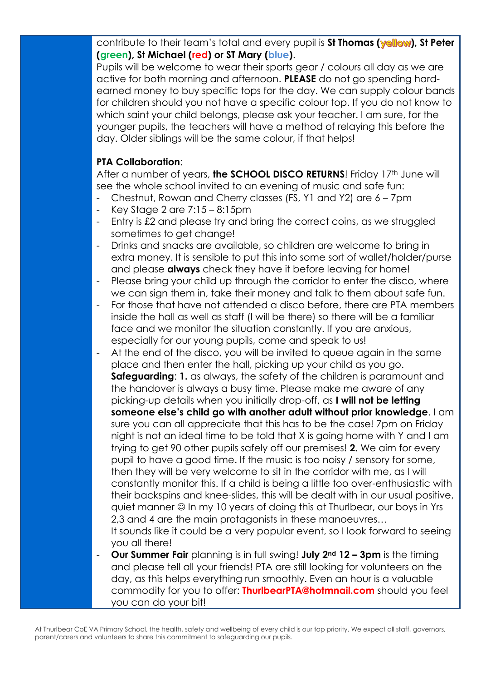contribute to their team's total and every pupil is St Thomas (**yellow**), St Peter **(green), St Michael (red) or ST Mary (blue)**.

Pupils will be welcome to wear their sports gear / colours all day as we are active for both morning and afternoon. **PLEASE** do not go spending hardearned money to buy specific tops for the day. We can supply colour bands for children should you not have a specific colour top. If you do not know to which saint your child belongs, please ask your teacher. I am sure, for the younger pupils, the teachers will have a method of relaying this before the day. Older siblings will be the same colour, if that helps!

### **PTA Collaboration**:

After a number of years, **the SCHOOL DISCO RETURNS**! Friday 17<sup>th</sup> June will see the whole school invited to an evening of music and safe fun:

- Chestnut, Rowan and Cherry classes (FS, Y1 and Y2) are 6 7pm
- Key Stage 2 are  $7:15 8:15$ pm
- Entry is £2 and please try and bring the correct coins, as we struggled sometimes to get change!
- Drinks and snacks are available, so children are welcome to bring in extra money. It is sensible to put this into some sort of wallet/holder/purse and please **always** check they have it before leaving for home!
- Please bring your child up through the corridor to enter the disco, where we can sign them in, take their money and talk to them about safe fun.
- For those that have not attended a disco before, there are PTA members inside the hall as well as staff (I will be there) so there will be a familiar face and we monitor the situation constantly. If you are anxious, especially for our young pupils, come and speak to us!
- At the end of the disco, you will be invited to queue again in the same place and then enter the hall, picking up your child as you go. **Safeguarding: 1.** as always, the safety of the children is paramount and the handover is always a busy time. Please make me aware of any picking-up details when you initially drop-off, as **I will not be letting someone else's child go with another adult without prior knowledge**. I am sure you can all appreciate that this has to be the case! 7pm on Friday night is not an ideal time to be told that X is going home with Y and I am trying to get 90 other pupils safely off our premises! **2.** We aim for every pupil to have a good time. If the music is too noisy / sensory for some, then they will be very welcome to sit in the corridor with me, as I will constantly monitor this. If a child is being a little too over-enthusiastic with their backspins and knee-slides, this will be dealt with in our usual positive, quiet manner  $\odot$  In my 10 years of doing this at Thurlbear, our boys in Yrs 2,3 and 4 are the main protagonists in these manoeuvres…

It sounds like it could be a very popular event, so I look forward to seeing you all there!

- **Our Summer Fair** planning is in full swing! **July 2nd 12 – 3pm** is the timing and please tell all your friends! PTA are still looking for volunteers on the day, as this helps everything run smoothly. Even an hour is a valuable commodity for you to offer: **[ThurlbearPTA@hotmnail.com](mailto:ThurlbearPTA@hotmnail.com)** should you feel you can do your bit!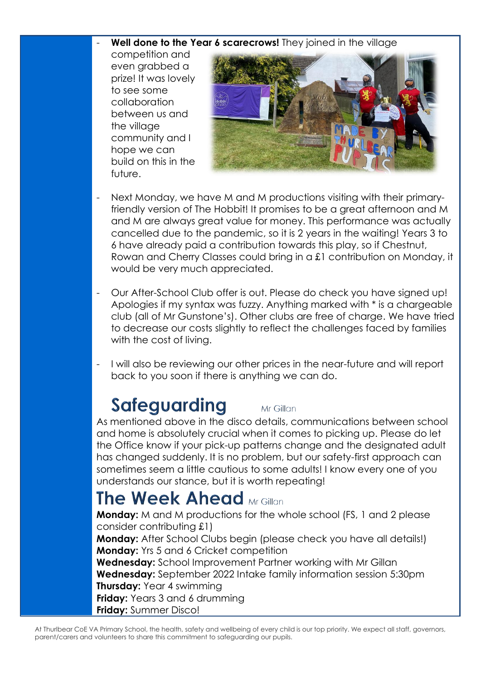### Well done to the Year 6 scarecrows! They joined in the village

competition and even grabbed a prize! It was lovely to see some collaboration between us and the village community and I hope we can build on this in the future.



- Next Monday, we have M and M productions visiting with their primaryfriendly version of The Hobbit! It promises to be a great afternoon and M and M are always great value for money. This performance was actually cancelled due to the pandemic, so it is 2 years in the waiting! Years 3 to 6 have already paid a contribution towards this play, so if Chestnut, Rowan and Cherry Classes could bring in a £1 contribution on Monday, it would be very much appreciated.
- Our After-School Club offer is out. Please do check you have signed up! Apologies if my syntax was fuzzy. Anything marked with \* is a chargeable club (all of Mr Gunstone's). Other clubs are free of charge. We have tried to decrease our costs slightly to reflect the challenges faced by families with the cost of living.
- I will also be reviewing our other prices in the near-future and will report back to you soon if there is anything we can do.

## **Safequarding**

As mentioned above in the disco details, communications between school and home is absolutely crucial when it comes to picking up. Please do let the Office know if your pick-up patterns change and the designated adult has changed suddenly. It is no problem, but our safety-first approach can sometimes seem a little cautious to some adults! I know every one of you understands our stance, but it is worth repeating!

Mr Gillan

### **The Week Ahead Mr Gillan**

**Monday:** M and M productions for the whole school (FS, 1 and 2 please consider contributing £1)

**Monday:** After School Clubs begin (please check you have all details!) **Monday:** Yrs 5 and 6 Cricket competition

**Wednesday:** School Improvement Partner working with Mr Gillan **Wednesday:** September 2022 Intake family information session 5:30pm **Thursday:** Year 4 swimming **Friday:** Years 3 and 6 drumming **Friday:** Summer Disco!